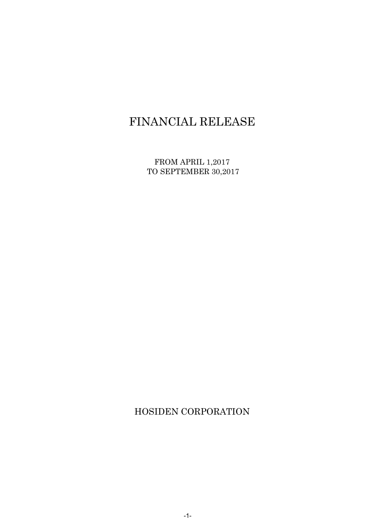# FINANCIAL RELEASE

FROM APRIL 1,2017 TO SEPTEMBER 30,2017

HOSIDEN CORPORATION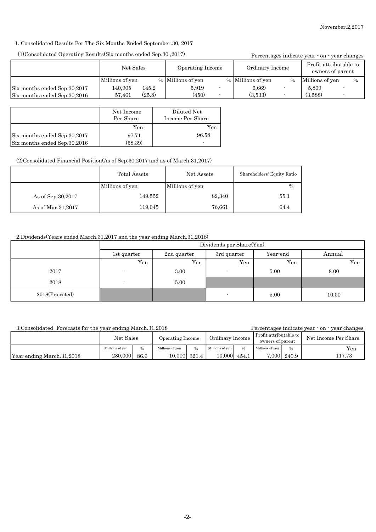## 1. Consolidated Results For The Six Months Ended September.30, 2017

# (1)Consolidated Operating Results(Six months ended Sep.30 ,2017)

| (10Consolidated Operating Results Six months ended Sep. 30, 2017) |                   |                 |                   | Percentages indicate year · on · year changes |                   |                          |                                            |               |
|-------------------------------------------------------------------|-------------------|-----------------|-------------------|-----------------------------------------------|-------------------|--------------------------|--------------------------------------------|---------------|
|                                                                   | Net Sales         |                 | Operating Income  |                                               | Ordinary Income   |                          | Profit attributable to<br>owners of parent |               |
|                                                                   | Millions of yen   |                 | % Millions of yen |                                               | % Millions of yen | $\frac{0}{0}$            | Millions of yen                            | $\frac{0}{0}$ |
| Six months ended Sep.30,2017<br>Six months ended Sep.30,2016      | 140.905<br>57,461 | 145.2<br>(25.8) | 5.919<br>(450)    |                                               | 6,669<br>(3.533)  | $\overline{\phantom{a}}$ | 5.809<br>(3,588)                           |               |

|                              | Net Income<br>Per Share | Diluted Net<br>Income Per Share |
|------------------------------|-------------------------|---------------------------------|
|                              | Yen                     | Yen                             |
| Six months ended Sep.30,2017 | 97.71                   | 96.58                           |
| Six months ended Sep.30,2016 | (58.39)                 | ٠                               |

### (2)Consolidated Financial Position(As of Sep.30,2017 and as of March.31,2017)

|                     | Total Assets    | Net Assets      | Shareholders' Equity Ratio |
|---------------------|-----------------|-----------------|----------------------------|
|                     | Millions of yen | Millions of yen | $\%$                       |
| As of Sep. 30, 2017 | 149,552         | 82,340          | 55.1                       |
| As of Mar.31,2017   | 119,045         | 76,661          | 64.4                       |

# 2.Dividends(Years ended March.31,2017 and the year ending March.31,2018)

|                 | Dividends per Share(Yen)   |      |                          |          |        |  |
|-----------------|----------------------------|------|--------------------------|----------|--------|--|
|                 | 2nd quarter<br>1st quarter |      | 3rd quarter              | Year-end | Annual |  |
|                 | Yen                        | Yen  | Yen                      | Yen      | Yen    |  |
| 2017            |                            | 3.00 | $\overline{\phantom{a}}$ | 5.00     | 8.00   |  |
| 2018            | $\overline{\phantom{a}}$   | 5.00 |                          |          |        |  |
| 2018(Projected) |                            |      | -                        | 5.00     | 10.00  |  |

3.Consolidated Forecasts for the year ending March.31,2018

Percentages indicate year - on - year changes

| <u>UIUUILUULUUUU LULUUUUU LULUU</u><br>$, \, \circ \, \ldots \, \circ \, \ldots \, \circ \, \ldots \, \circ \, \ldots \, \circ \, \ldots \, \circ \, \ldots$ |                 |               |                  |              |                 |       | .<br>$, \, \circ \, \dots \, \circ \, \dots \, \bullet \, \circ \, \dots$ |       |                      |
|--------------------------------------------------------------------------------------------------------------------------------------------------------------|-----------------|---------------|------------------|--------------|-----------------|-------|---------------------------------------------------------------------------|-------|----------------------|
|                                                                                                                                                              | Net Sales       |               | Operating Income |              | Ordinary Income |       | Profit attributable to<br>owners of parent                                |       | Net Income Per Share |
|                                                                                                                                                              | Millions of ven | $\frac{0}{0}$ | Millions of ven  | 0/2          | Millions of yen | 0/2   | Millions of yen                                                           |       | Yen                  |
| Year ending March.31,2018                                                                                                                                    | 280,000         | 86.6          |                  | 10,000 321.4 | 10,000          | 454.1 | 7,000                                                                     | 240.9 | 117.73               |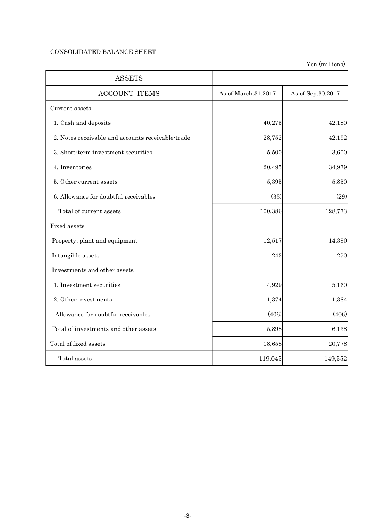# CONSOLIDATED BALANCE SHEET

| <b>ASSETS</b>                                     |                     |                   |
|---------------------------------------------------|---------------------|-------------------|
| <b>ACCOUNT ITEMS</b>                              | As of March.31,2017 | As of Sep.30,2017 |
| Current assets                                    |                     |                   |
| 1. Cash and deposits                              | 40,275              | 42,180            |
| 2. Notes receivable and accounts receivable-trade | 28,752              | 42,192            |
| 3. Short-term investment securities               | 5,500               | 3,600             |
| 4. Inventories                                    | 20,495              | 34,979            |
| 5. Other current assets                           | 5,395               | 5,850             |
| 6. Allowance for doubtful receivables             | (33)                | (29)              |
| Total of current assets                           | 100,386             | 128,773           |
| Fixed assets                                      |                     |                   |
| Property, plant and equipment                     | 12,517              | 14,390            |
| Intangible assets                                 | 243                 | 250               |
| Investments and other assets                      |                     |                   |
| 1. Investment securities                          | 4,929               | 5,160             |
| 2. Other investments                              | 1,374               | 1,384             |
| Allowance for doubtful receivables                | (406)               | (406)             |
| Total of investments and other assets             | 5,898               | 6,138             |
| Total of fixed assets                             | 18,658              | 20,778            |
| Total assets                                      | 119,045             | 149,552           |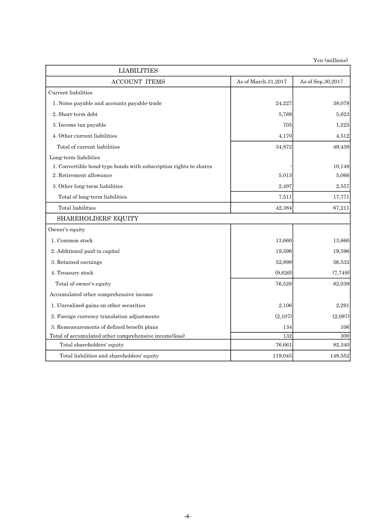| <b>LIABILITIES</b>                                                |                     |                   |
|-------------------------------------------------------------------|---------------------|-------------------|
| <b>ACCOUNT ITEMS</b>                                              | As of March.31,2017 | As of Sep.30,2017 |
| Current liabilities                                               |                     |                   |
| 1. Notes payable and accounts payable-trade                       | 24,227              | 38,078            |
| 2. Short-term debt                                                | 5,769               | 5,623             |
| 3. Income tax payable                                             | 705                 | 1,225             |
| 4. Other current liabilities                                      | 4,170               | 4,512             |
| Total of current liabilities                                      | 34,872              | 49,439            |
| Long-term liabilities                                             |                     |                   |
| 1. Convertible bond-type bonds with subscription rights to shares |                     | 10,148            |
| 2. Retirement allowance                                           | 5,013               | 5,066             |
| 3. Other long-term liabilities                                    | 2,497               | 2,557             |
| Total of long-term liabilities                                    | 7,511               | 17,771            |
| Total liabilities                                                 | 42,384              | 67,211            |
| <b>SHAREHOLDERS' EQUITY</b>                                       |                     |                   |
| Owner's equity                                                    |                     |                   |
| 1. Common stock                                                   | 13,660              | 13,660            |
| 2. Additional paid-in capital                                     | 19,596              | 19,596            |
| 3. Retained earnings                                              | 52,898              | 56,532            |
| 4. Treasury stock                                                 | (9,626)             | (7,749)           |
| Total of owner's equity                                           | 76,528              | 82,039            |
| Accumulated other comprehensive income                            |                     |                   |
| 1. Unrealized gains on other securities                           | 2,106               | 2,291             |
| 2. Foreign currency translation adjustments                       | (2,107)             | (2,097)           |
| 3. Remeasurements of defined benefit plans                        | 134                 | 106               |
| Total of accumulated other comprehensive income(loss)             | 132                 | 300               |
| Total shareholders' equity                                        | 76,661              | 82,340            |
| Total liabilities and shareholders' equity                        | 119,045             | 149,552           |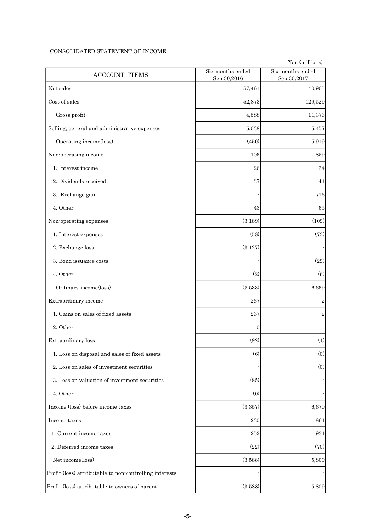### CONSOLIDATED STATEMENT OF INCOME

| <b>ACCOUNT ITEMS</b>                                    | Six months ended<br>Sep.30,2016 | Six months ended<br>Sep.30,2017 |
|---------------------------------------------------------|---------------------------------|---------------------------------|
| Net sales                                               | 57,461                          | 140,905                         |
| Cost of sales                                           | 52,873                          | 129,529                         |
| Gross profit                                            | 4,588                           | 11,376                          |
| Selling, general and administrative expenses            | 5,038                           | 5.457                           |
| Operating income(loss)                                  | (450)                           | 5,919                           |
| Non-operating income                                    | 106                             | 859                             |
| 1. Interest income                                      | 26                              | 34                              |
| 2. Dividends received                                   | 37                              | 44                              |
| 3. Exchange gain                                        |                                 | 716                             |
| 4. Other                                                | 43                              | 65                              |
| Non-operating expenses                                  | (3, 189)                        | (109)                           |
| 1. Interest expenses                                    | (58)                            | (73)                            |
| 2. Exchange loss                                        | (3,127)                         |                                 |
| 3. Bond issuance costs                                  |                                 | (29)                            |
| 4. Other                                                | (2)                             | (6)                             |
| Ordinary income(loss)                                   | (3,533)                         | 6,669                           |
| Extraordinary income                                    | 267                             | $\boldsymbol{2}$                |
| 1. Gains on sales of fixed assets                       | 267                             | $\overline{2}$                  |
| 2. Other                                                | $\overline{0}$                  |                                 |
| Extraordinary loss                                      | (92)                            | (1)                             |
| 1. Loss on disposal and sales of fixed assets           | (6)                             | (0)                             |
| 2. Loss on sales of investment securities               |                                 | (0)                             |
| 3. Loss on valuation of investment securities           | (85)                            |                                 |
| 4. Other                                                | (0)                             |                                 |
| Income (loss) before income taxes                       | (3,357)                         | 6,670                           |
| Income taxes                                            | 230                             | 861                             |
| 1. Current income taxes                                 | 252                             | 931                             |
| 2. Deferred income taxes                                | (22)                            | (70)                            |
| Net income(loss)                                        | (3,588)                         | 5,809                           |
| Profit (loss) attributable to non-controlling interests |                                 |                                 |
| Profit (loss) attributable to owners of parent          | (3,588)                         | 5,809                           |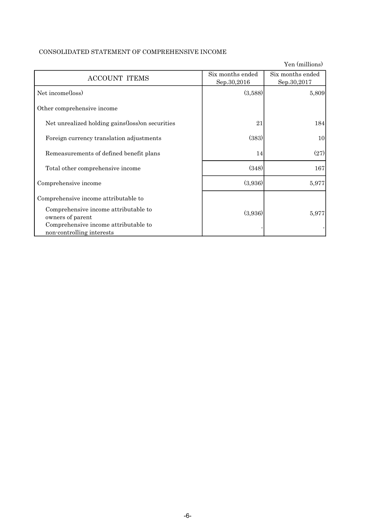## CONSOLIDATED STATEMENT OF COMPREHENSIVE INCOME

Yen (millions) ACCOUNT ITEMS Six months ended Sep.30,2016 Six months ended Sep.30,2017 Net income(loss)  $(3,588)$   $(3,588)$   $5,809$  Other comprehensive income Net unrealized holding gains(loss)on securities 21 21 21 Foreign currency translation adjustments  $(383)$   $(383)$ Remeasurements of defined benefit plans  $14$  (27) Total other comprehensive income (348) (348) 167 Comprehensive income (3,936) 5,977 Comprehensive income attributable to Comprehensive income attributable to  $(3,936)$   $(3,936)$  5,977 Comprehensive income attributable to non-controlling interests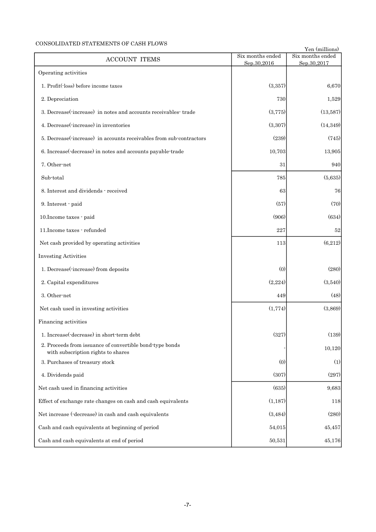## CONSOLIDATED STATEMENTS OF CASH FLOWS

| CONSOLIDATED STATEMENTS OF CASH FLOWS<br><b>ACCOUNT ITEMS</b>                                  | Six months ended | Yen (millions)<br>Six months ended |
|------------------------------------------------------------------------------------------------|------------------|------------------------------------|
| Operating activities                                                                           | Sep.30,2016      | Sep.30,2017                        |
| 1. Profit(loss) before income taxes                                                            | (3,357)          | 6,670                              |
| 2. Depreciation                                                                                | 730              | 1,529                              |
| 3. Decrease (increase) in notes and accounts receivables trade                                 |                  |                                    |
|                                                                                                | (3,775)          | (13,587)                           |
| 4. Decrease (increase) in inventories                                                          | (3,307)          | (14, 349)                          |
| 5. Decrease (increase) in accounts receivables from sub-contractors                            | (239)            | (745)                              |
| 6. Increase(-decrease) in notes and accounts payable-trade                                     | 10,703           | 13,905                             |
| 7. Other-net                                                                                   | 31               | 940                                |
| Sub-total                                                                                      | 785              | (5,635)                            |
| 8. Interest and dividends - received                                                           | 63               | 76                                 |
| 9. Interest · paid                                                                             | (57)             | (70)                               |
| 10. Income taxes - paid                                                                        | (906)            | (634)                              |
| 11. Income taxes · refunded                                                                    | 227              | 52                                 |
| Net cash provided by operating activities                                                      | 113              | (6,212)                            |
| <b>Investing Activities</b>                                                                    |                  |                                    |
| 1. Decrease(-increase) from deposits                                                           | (0)              | (280)                              |
| 2. Capital expenditures                                                                        | (2,224)          | (3,540)                            |
| 3. Other-net                                                                                   | 449              | (48)                               |
| Net cash used in investing activities                                                          | (1,774)          | (3,869)                            |
| Financing activities                                                                           |                  |                                    |
| 1. Increase (decrease) in short-term debt                                                      | (327)            | (139)                              |
| 2. Proceeds from issuance of convertible bond-type bonds<br>with subscription rights to shares |                  | 10,120                             |
| 3. Purchases of treasury stock                                                                 | (0)              | (1)                                |
| 4. Dividends paid                                                                              | (307)            | (297)                              |
| Net cash used in financing activities                                                          | (635)            | 9,683                              |
| Effect of exchange rate changes on cash and cash equivalents                                   | (1,187)          | 118                                |
| Net increase (-decrease) in cash and cash equivalents                                          | (3, 484)         | (280)                              |
| Cash and cash equivalents at beginning of period                                               | 54,015           | 45,457                             |
| Cash and cash equivalents at end of period                                                     | 50,531           | 45,176                             |